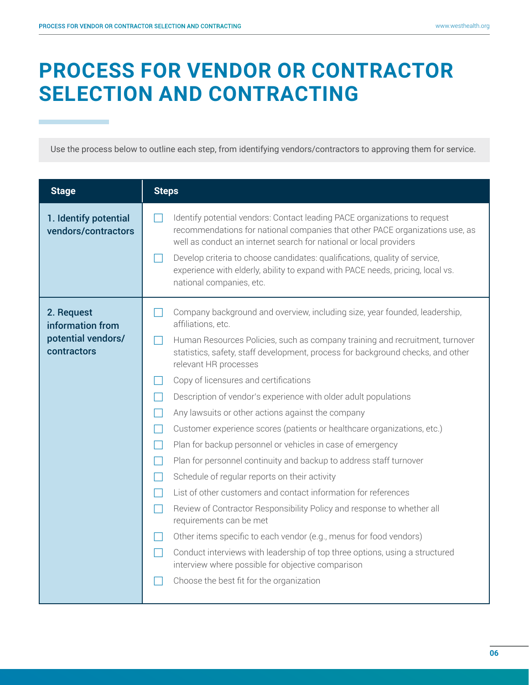## **PROCESS FOR VENDOR OR CONTRACTOR SELECTION AND CONTRACTING**

Use the process below to outline each step, from identifying vendors/contractors to approving them for service.

| <b>Stage</b>                                                        | <b>Steps</b>                                                                                                                                                                                                                                                                                                                                                                                                                                                                                                                                                                                                                                                                                                                                                                                                                                                                                                                                                                                                                                                                                                                                                                                                                                                                                                 |
|---------------------------------------------------------------------|--------------------------------------------------------------------------------------------------------------------------------------------------------------------------------------------------------------------------------------------------------------------------------------------------------------------------------------------------------------------------------------------------------------------------------------------------------------------------------------------------------------------------------------------------------------------------------------------------------------------------------------------------------------------------------------------------------------------------------------------------------------------------------------------------------------------------------------------------------------------------------------------------------------------------------------------------------------------------------------------------------------------------------------------------------------------------------------------------------------------------------------------------------------------------------------------------------------------------------------------------------------------------------------------------------------|
| 1. Identify potential<br>vendors/contractors                        | Identify potential vendors: Contact leading PACE organizations to request<br>recommendations for national companies that other PACE organizations use, as<br>well as conduct an internet search for national or local providers<br>Develop criteria to choose candidates: qualifications, quality of service,<br>experience with elderly, ability to expand with PACE needs, pricing, local vs.<br>national companies, etc.                                                                                                                                                                                                                                                                                                                                                                                                                                                                                                                                                                                                                                                                                                                                                                                                                                                                                  |
| 2. Request<br>information from<br>potential vendors/<br>contractors | Company background and overview, including size, year founded, leadership,<br>affiliations, etc.<br>Human Resources Policies, such as company training and recruitment, turnover<br>$\blacksquare$<br>statistics, safety, staff development, process for background checks, and other<br>relevant HR processes<br>Copy of licensures and certifications<br>$\mathcal{L}$<br>Description of vendor's experience with older adult populations<br>$\Box$<br>Any lawsuits or other actions against the company<br>$\mathcal{L}$<br>Customer experience scores (patients or healthcare organizations, etc.)<br>$\mathsf{L}$<br>Plan for backup personnel or vehicles in case of emergency<br>$\blacksquare$<br>Plan for personnel continuity and backup to address staff turnover<br>Schedule of regular reports on their activity<br>$\mathsf{L}$<br>List of other customers and contact information for references<br>Review of Contractor Responsibility Policy and response to whether all<br>$\mathbf{1}$<br>requirements can be met<br>Other items specific to each vendor (e.g., menus for food vendors)<br>Conduct interviews with leadership of top three options, using a structured<br>$\blacksquare$<br>interview where possible for objective comparison<br>Choose the best fit for the organization |
|                                                                     |                                                                                                                                                                                                                                                                                                                                                                                                                                                                                                                                                                                                                                                                                                                                                                                                                                                                                                                                                                                                                                                                                                                                                                                                                                                                                                              |